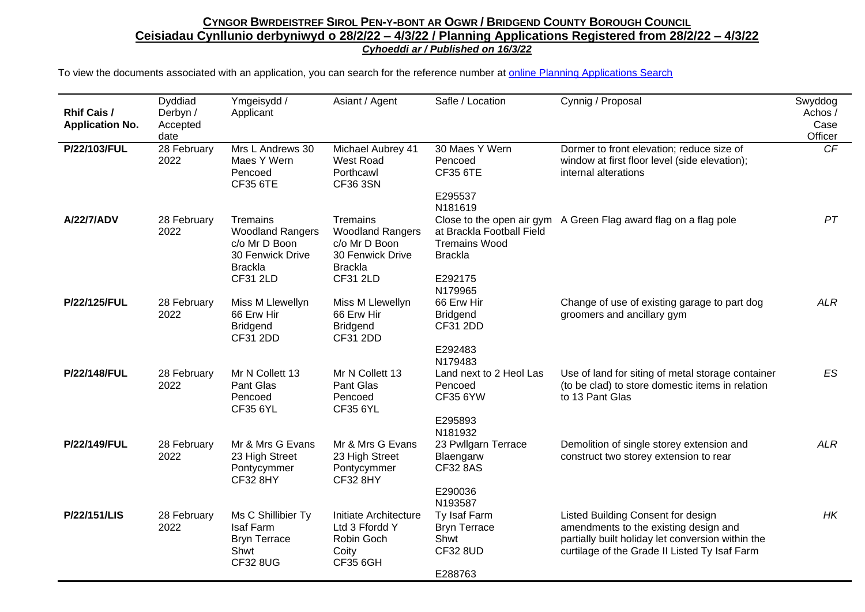| <b>Rhif Cais /</b><br><b>Application No.</b> | Dyddiad<br>Derbyn /<br>Accepted<br>date | Ymgeisydd /<br>Applicant                                                                                      | Asiant / Agent                                                                                                | Safle / Location                                                                                     | Cynnig / Proposal                                                                                                                                                                 | Swyddog<br>Achos /<br>Case<br>Officer |
|----------------------------------------------|-----------------------------------------|---------------------------------------------------------------------------------------------------------------|---------------------------------------------------------------------------------------------------------------|------------------------------------------------------------------------------------------------------|-----------------------------------------------------------------------------------------------------------------------------------------------------------------------------------|---------------------------------------|
| P/22/103/FUL                                 | 28 February<br>2022                     | Mrs L Andrews 30<br>Maes Y Wern<br>Pencoed<br><b>CF35 6TE</b>                                                 | Michael Aubrey 41<br>West Road<br>Porthcawl<br><b>CF36 3SN</b>                                                | 30 Maes Y Wern<br>Pencoed<br><b>CF35 6TE</b><br>E295537                                              | Dormer to front elevation; reduce size of<br>window at first floor level (side elevation);<br>internal alterations                                                                | CF                                    |
| A/22/7/ADV                                   | 28 February<br>2022                     | Tremains<br><b>Woodland Rangers</b><br>c/o Mr D Boon<br>30 Fenwick Drive<br><b>Brackla</b><br><b>CF31 2LD</b> | Tremains<br><b>Woodland Rangers</b><br>c/o Mr D Boon<br>30 Fenwick Drive<br><b>Brackla</b><br><b>CF31 2LD</b> | N181619<br>at Brackla Football Field<br><b>Tremains Wood</b><br><b>Brackla</b><br>E292175<br>N179965 | Close to the open air gym A Green Flag award flag on a flag pole                                                                                                                  | PT                                    |
| P/22/125/FUL                                 | 28 February<br>2022                     | Miss M Llewellyn<br>66 Erw Hir<br><b>Bridgend</b><br><b>CF31 2DD</b>                                          | Miss M Llewellyn<br>66 Erw Hir<br><b>Bridgend</b><br><b>CF31 2DD</b>                                          | 66 Erw Hir<br><b>Bridgend</b><br>CF31 2DD<br>E292483<br>N179483                                      | Change of use of existing garage to part dog<br>groomers and ancillary gym                                                                                                        | <b>ALR</b>                            |
| P/22/148/FUL                                 | 28 February<br>2022                     | Mr N Collett 13<br>Pant Glas<br>Pencoed<br><b>CF35 6YL</b>                                                    | Mr N Collett 13<br>Pant Glas<br>Pencoed<br><b>CF35 6YL</b>                                                    | Land next to 2 Heol Las<br>Pencoed<br><b>CF35 6YW</b><br>E295893                                     | Use of land for siting of metal storage container<br>(to be clad) to store domestic items in relation<br>to 13 Pant Glas                                                          | ES                                    |
| P/22/149/FUL                                 | 28 February<br>2022                     | Mr & Mrs G Evans<br>23 High Street<br>Pontycymmer<br><b>CF32 8HY</b>                                          | Mr & Mrs G Evans<br>23 High Street<br>Pontycymmer<br><b>CF32 8HY</b>                                          | N181932<br>23 Pwllgarn Terrace<br>Blaengarw<br><b>CF32 8AS</b><br>E290036                            | Demolition of single storey extension and<br>construct two storey extension to rear                                                                                               | <b>ALR</b>                            |
| <b>P/22/151/LIS</b>                          | 28 February<br>2022                     | Ms C Shillibier Ty<br>Isaf Farm<br><b>Bryn Terrace</b><br>Shwt<br><b>CF32 8UG</b>                             | Initiate Architecture<br>Ltd 3 Ffordd Y<br>Robin Goch<br>Coity<br><b>CF35 6GH</b>                             | N193587<br>Ty Isaf Farm<br><b>Bryn Terrace</b><br>Shwt<br><b>CF32 8UD</b><br>E288763                 | Listed Building Consent for design<br>amendments to the existing design and<br>partially built holiday let conversion within the<br>curtilage of the Grade II Listed Ty Isaf Farm | HK                                    |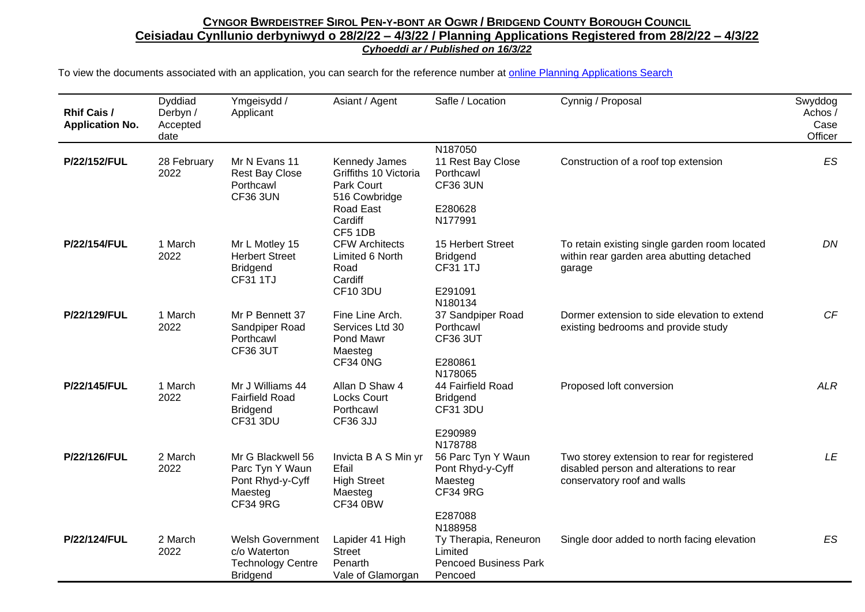| <b>Rhif Cais /</b><br><b>Application No.</b> | Dyddiad<br>Derbyn /<br>Accepted<br>date | Ymgeisydd /<br>Applicant                                                               | Asiant / Agent                                                                                | Safle / Location                                                                       | Cynnig / Proposal                                                                                                     | Swyddog<br>Achos /<br>Case<br>Officer |
|----------------------------------------------|-----------------------------------------|----------------------------------------------------------------------------------------|-----------------------------------------------------------------------------------------------|----------------------------------------------------------------------------------------|-----------------------------------------------------------------------------------------------------------------------|---------------------------------------|
| P/22/152/FUL                                 | 28 February<br>2022                     | Mr N Evans 11<br><b>Rest Bay Close</b><br>Porthcawl<br><b>CF36 3UN</b>                 | Kennedy James<br>Griffiths 10 Victoria<br>Park Court<br>516 Cowbridge<br>Road East<br>Cardiff | N187050<br>11 Rest Bay Close<br>Porthcawl<br><b>CF36 3UN</b><br>E280628<br>N177991     | Construction of a roof top extension                                                                                  | ES                                    |
| P/22/154/FUL                                 | 1 March<br>2022                         | Mr L Motley 15<br><b>Herbert Street</b><br><b>Bridgend</b><br><b>CF31 1TJ</b>          | CF5 1DB<br><b>CFW Architects</b><br>Limited 6 North<br>Road<br>Cardiff<br><b>CF10 3DU</b>     | 15 Herbert Street<br><b>Bridgend</b><br><b>CF31 1TJ</b><br>E291091                     | To retain existing single garden room located<br>within rear garden area abutting detached<br>garage                  | DN                                    |
| P/22/129/FUL                                 | 1 March<br>2022                         | Mr P Bennett 37<br>Sandpiper Road<br>Porthcawl<br><b>CF36 3UT</b>                      | Fine Line Arch.<br>Services Ltd 30<br>Pond Mawr<br>Maesteg<br>CF34 0NG                        | N180134<br>37 Sandpiper Road<br>Porthcawl<br><b>CF36 3UT</b><br>E280861<br>N178065     | Dormer extension to side elevation to extend<br>existing bedrooms and provide study                                   | CF                                    |
| P/22/145/FUL                                 | 1 March<br>2022                         | Mr J Williams 44<br><b>Fairfield Road</b><br><b>Bridgend</b><br><b>CF31 3DU</b>        | Allan D Shaw 4<br><b>Locks Court</b><br>Porthcawl<br>CF36 3JJ                                 | 44 Fairfield Road<br><b>Bridgend</b><br><b>CF31 3DU</b><br>E290989<br>N178788          | Proposed loft conversion                                                                                              | <b>ALR</b>                            |
| P/22/126/FUL                                 | 2 March<br>2022                         | Mr G Blackwell 56<br>Parc Tyn Y Waun<br>Pont Rhyd-y-Cyff<br>Maesteg<br><b>CF34 9RG</b> | Invicta B A S Min yr<br>Efail<br><b>High Street</b><br>Maesteg<br><b>CF34 0BW</b>             | 56 Parc Tyn Y Waun<br>Pont Rhyd-y-Cyff<br>Maesteg<br><b>CF34 9RG</b><br>E287088        | Two storey extension to rear for registered<br>disabled person and alterations to rear<br>conservatory roof and walls | LE                                    |
| P/22/124/FUL                                 | 2 March<br>2022                         | <b>Welsh Government</b><br>c/o Waterton<br><b>Technology Centre</b><br><b>Bridgend</b> | Lapider 41 High<br><b>Street</b><br>Penarth<br>Vale of Glamorgan                              | N188958<br>Ty Therapia, Reneuron<br>Limited<br><b>Pencoed Business Park</b><br>Pencoed | Single door added to north facing elevation                                                                           | ES                                    |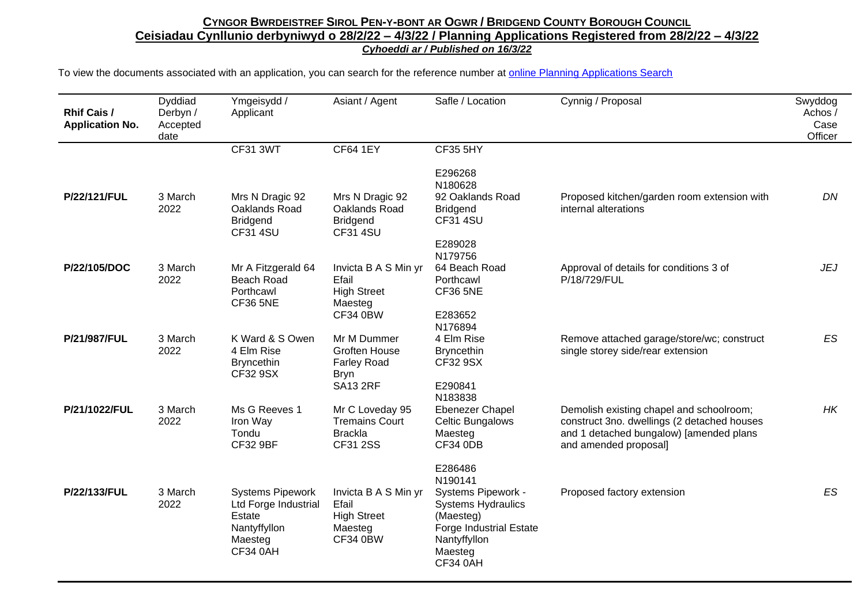| <b>Rhif Cais /</b><br><b>Application No.</b> | Dyddiad<br>Derbyn /<br>Accepted<br>date | Ymgeisydd /<br>Applicant                                                                                | Asiant / Agent                                                                       | Safle / Location                                                                                                                                 | Cynnig / Proposal                                                                                                                                           | Swyddog<br>Achos /<br>Case<br>Officer |
|----------------------------------------------|-----------------------------------------|---------------------------------------------------------------------------------------------------------|--------------------------------------------------------------------------------------|--------------------------------------------------------------------------------------------------------------------------------------------------|-------------------------------------------------------------------------------------------------------------------------------------------------------------|---------------------------------------|
|                                              |                                         | <b>CF31 3WT</b>                                                                                         | <b>CF64 1EY</b>                                                                      | <b>CF35 5HY</b><br>E296268                                                                                                                       |                                                                                                                                                             |                                       |
| P/22/121/FUL                                 | 3 March<br>2022                         | Mrs N Dragic 92<br>Oaklands Road<br><b>Bridgend</b><br><b>CF31 4SU</b>                                  | Mrs N Dragic 92<br>Oaklands Road<br><b>Bridgend</b><br><b>CF31 4SU</b>               | N180628<br>92 Oaklands Road<br><b>Bridgend</b><br><b>CF31 4SU</b><br>E289028                                                                     | Proposed kitchen/garden room extension with<br>internal alterations                                                                                         | DN                                    |
| P/22/105/DOC                                 | 3 March<br>2022                         | Mr A Fitzgerald 64<br>Beach Road<br>Porthcawl<br><b>CF36 5NE</b>                                        | Invicta B A S Min yr<br>Efail<br><b>High Street</b><br>Maesteg<br><b>CF34 0BW</b>    | N179756<br>64 Beach Road<br>Porthcawl<br><b>CF36 5NE</b><br>E283652<br>N176894                                                                   | Approval of details for conditions 3 of<br>P/18/729/FUL                                                                                                     | JEJ                                   |
| P/21/987/FUL                                 | 3 March<br>2022                         | K Ward & S Owen<br>4 Elm Rise<br><b>Bryncethin</b><br>CF32 9SX                                          | Mr M Dummer<br>Groften House<br><b>Farley Road</b><br><b>Bryn</b><br><b>SA13 2RF</b> | 4 Elm Rise<br><b>Bryncethin</b><br><b>CF32 9SX</b><br>E290841<br>N183838                                                                         | Remove attached garage/store/wc; construct<br>single storey side/rear extension                                                                             | ES                                    |
| P/21/1022/FUL                                | 3 March<br>2022                         | Ms G Reeves 1<br>Iron Way<br>Tondu<br><b>CF32 9BF</b>                                                   | Mr C Loveday 95<br><b>Tremains Court</b><br><b>Brackla</b><br>CF31 2SS               | <b>Ebenezer Chapel</b><br>Celtic Bungalows<br>Maesteg<br><b>CF34 0DB</b><br>E286486                                                              | Demolish existing chapel and schoolroom;<br>construct 3no. dwellings (2 detached houses<br>and 1 detached bungalow) [amended plans<br>and amended proposal] | НK                                    |
| P/22/133/FUL                                 | 3 March<br>2022                         | <b>Systems Pipework</b><br>Ltd Forge Industrial<br>Estate<br>Nantyffyllon<br>Maesteg<br><b>CF34 0AH</b> | Invicta B A S Min yr<br>Efail<br><b>High Street</b><br>Maesteg<br><b>CF34 0BW</b>    | N190141<br>Systems Pipework -<br><b>Systems Hydraulics</b><br>(Maesteg)<br><b>Forge Industrial Estate</b><br>Nantyffyllon<br>Maesteg<br>CF34 0AH | Proposed factory extension                                                                                                                                  | ES                                    |